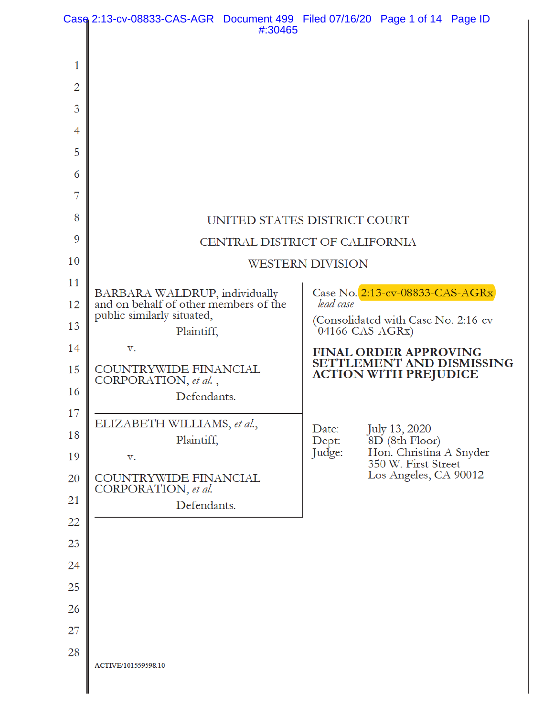|    | Case 2:13-cv-08833-CAS-AGR Document 499 Filed 07/16/20 Page 1 of 14 Page ID                          | #:30465 |                                                         |                                                           |
|----|------------------------------------------------------------------------------------------------------|---------|---------------------------------------------------------|-----------------------------------------------------------|
| 1  |                                                                                                      |         |                                                         |                                                           |
| 2  |                                                                                                      |         |                                                         |                                                           |
| 3  |                                                                                                      |         |                                                         |                                                           |
| 4  |                                                                                                      |         |                                                         |                                                           |
| 5  |                                                                                                      |         |                                                         |                                                           |
| 6  |                                                                                                      |         |                                                         |                                                           |
| 7  |                                                                                                      |         |                                                         |                                                           |
| 8  | UNITED STATES DISTRICT COURT                                                                         |         |                                                         |                                                           |
| 9  | CENTRAL DISTRICT OF CALIFORNIA                                                                       |         |                                                         |                                                           |
| 10 | <b>WESTERN DIVISION</b>                                                                              |         |                                                         |                                                           |
| 11 |                                                                                                      |         |                                                         | Case No. 2:13-cv-08833-CAS-AGRx                           |
| 12 | BARBARA WALDRUP, individually<br>and on behalf of other members of the<br>public similarly situated, |         | lead case                                               |                                                           |
| 13 | Plaintiff,                                                                                           |         | (Consolidated with Case No. 2:16-cv-<br>04166-CAS-AGRx) |                                                           |
| 14 | v.                                                                                                   |         |                                                         | <b>FINAL ORDER APPROVING</b>                              |
| 15 | COUNTRYWIDE FINANCIAL<br>CORPORATION, et al.,                                                        |         |                                                         | SETTLEMENT AND DISMISSING<br><b>ACTION WITH PREJUDICE</b> |
| 16 | Defendants.                                                                                          |         |                                                         |                                                           |
| 17 | ELIZABETH WILLIAMS, et al.,                                                                          |         |                                                         |                                                           |
| 18 | Plaintiff,                                                                                           |         | Date:<br>Dept:                                          | July 13, 2020<br>8D (8th Floor)                           |
| 19 | v.                                                                                                   |         | Judge:                                                  | Hon. Christina A Snyder<br>350 W. First Street            |
| 20 | COUNTRYWIDE FINANCIAL<br>CORPORATION, et al.                                                         |         |                                                         | Los Angeles, CA 90012                                     |
| 21 | Defendants.                                                                                          |         |                                                         |                                                           |
| 22 |                                                                                                      |         |                                                         |                                                           |
| 23 |                                                                                                      |         |                                                         |                                                           |
| 24 |                                                                                                      |         |                                                         |                                                           |
| 25 |                                                                                                      |         |                                                         |                                                           |
| 26 |                                                                                                      |         |                                                         |                                                           |
| 27 |                                                                                                      |         |                                                         |                                                           |
| 28 | ACTIVE/101559598.10                                                                                  |         |                                                         |                                                           |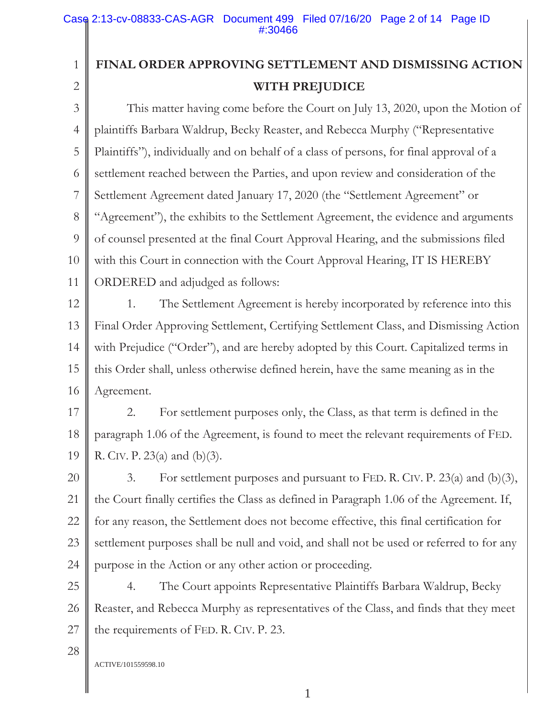# **FINAL ORDER APPROVING SETTLEMENT AND DISMISSING ACTION WITH PREJUDICE**

3 4 5 6 7 8 9 10 11 This matter having come before the Court on July 13, 2020, upon the Motion of plaintiffs Barbara Waldrup, Becky Reaster, and Rebecca Murphy ("Representative Plaintiffs"), individually and on behalf of a class of persons, for final approval of a settlement reached between the Parties, and upon review and consideration of the Settlement Agreement dated January 17, 2020 (the "Settlement Agreement" or "Agreement"), the exhibits to the Settlement Agreement, the evidence and arguments of counsel presented at the final Court Approval Hearing, and the submissions filed with this Court in connection with the Court Approval Hearing, IT IS HEREBY ORDERED and adjudged as follows:

12 13 14 15 16 1. The Settlement Agreement is hereby incorporated by reference into this Final Order Approving Settlement, Certifying Settlement Class, and Dismissing Action with Prejudice ("Order"), and are hereby adopted by this Court. Capitalized terms in this Order shall, unless otherwise defined herein, have the same meaning as in the Agreement.

17 18 19 2. For settlement purposes only, the Class, as that term is defined in the paragraph 1.06 of the Agreement, is found to meet the relevant requirements of FED. R. CIV. P. 23(a) and (b)(3).

20 21 22 23 24 3. For settlement purposes and pursuant to FED. R. CIV. P. 23(a) and (b)(3), the Court finally certifies the Class as defined in Paragraph 1.06 of the Agreement. If, for any reason, the Settlement does not become effective, this final certification for settlement purposes shall be null and void, and shall not be used or referred to for any purpose in the Action or any other action or proceeding.

25 26 27 4. The Court appoints Representative Plaintiffs Barbara Waldrup, Becky Reaster, and Rebecca Murphy as representatives of the Class, and finds that they meet the requirements of FED. R. CIV. P. 23.

28

1

2

ACTIVE/101559598.10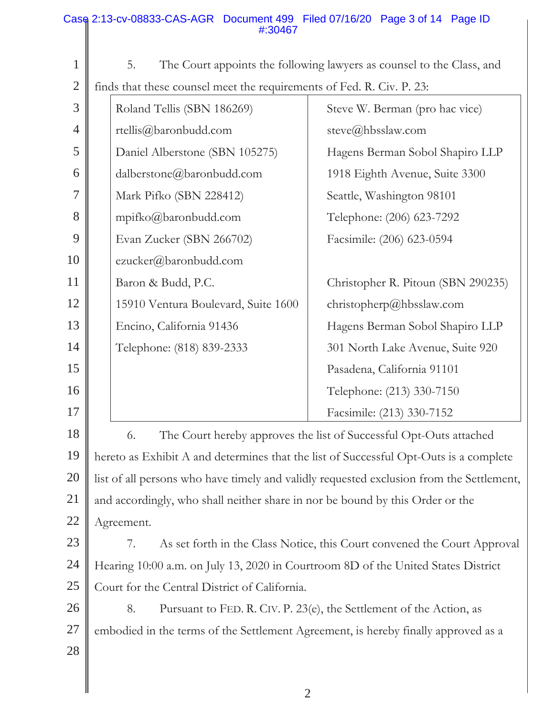#### 1 2 3 4 5 6 7 8 9 10 11 12 13 14 15 16 17 18 19 20 21 22 23 24 25 26 27 28 5. The Court appoints the following lawyers as counsel to the Class, and finds that these counsel meet the requirements of Fed. R. Civ. P. 23: Roland Tellis (SBN 186269) rtellis@baronbudd.com Daniel Alberstone (SBN 105275) dalberstone@baronbudd.com Mark Pifko (SBN 228412) mpifko@baronbudd.com Evan Zucker (SBN 266702) ezucker@baronbudd.com Baron & Budd, P.C. 15910 Ventura Boulevard, Suite 1600 Encino, California 91436 Telephone: (818) 839-2333 Steve W. Berman (pro hac vice) steve@hbsslaw.com Hagens Berman Sobol Shapiro LLP 1918 Eighth Avenue, Suite 3300 Seattle, Washington 98101 Telephone: (206) 623-7292 Facsimile: (206) 623-0594 Christopher R. Pitoun (SBN 290235) christopherp@hbsslaw.com Hagens Berman Sobol Shapiro LLP 301 North Lake Avenue, Suite 920 Pasadena, California 91101 Telephone: (213) 330-7150 Facsimile: (213) 330-7152 6. The Court hereby approves the list of Successful Opt-Outs attached hereto as Exhibit A and determines that the list of Successful Opt-Outs is a complete list of all persons who have timely and validly requested exclusion from the Settlement, and accordingly, who shall neither share in nor be bound by this Order or the Agreement. 7. As set forth in the Class Notice, this Court convened the Court Approval Hearing 10:00 a.m. on July 13, 2020 in Courtroom 8D of the United States District Court for the Central District of California. 8. Pursuant to FED. R. CIV. P. 23(e), the Settlement of the Action, as embodied in the terms of the Settlement Agreement, is hereby finally approved as a Case 2:13-cv-08833-CAS-AGR Document 499 Filed 07/16/20 Page 3 of 14 Page ID #:30467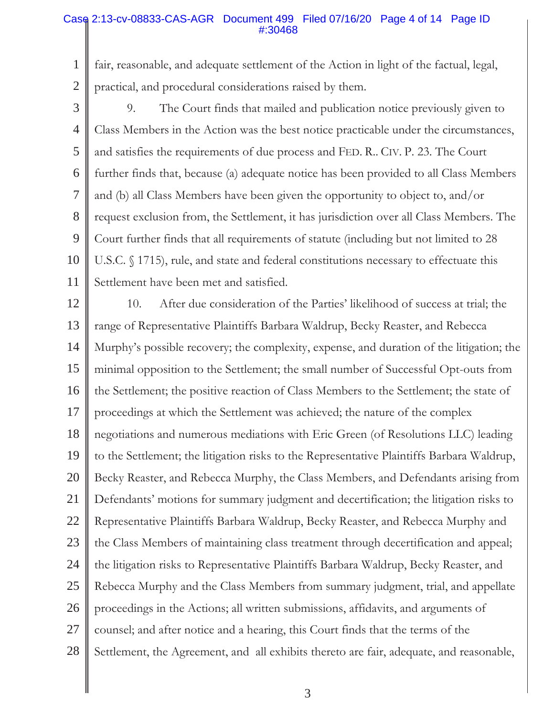### Case 2:13-cv-08833-CAS-AGR Document 499 Filed 07/16/20 Page 4 of 14 Page ID #:30468

1 2 fair, reasonable, and adequate settlement of the Action in light of the factual, legal, practical, and procedural considerations raised by them.

3 4 5 6 7 8 9 10 11 9. The Court finds that mailed and publication notice previously given to Class Members in the Action was the best notice practicable under the circumstances, and satisfies the requirements of due process and FED. R.. CIV. P. 23. The Court further finds that, because (a) adequate notice has been provided to all Class Members and (b) all Class Members have been given the opportunity to object to, and/or request exclusion from, the Settlement, it has jurisdiction over all Class Members. The Court further finds that all requirements of statute (including but not limited to 28 U.S.C. § 1715), rule, and state and federal constitutions necessary to effectuate this Settlement have been met and satisfied.

12 13 14 15 16 17 18 19 20 21 22 23 24 25 26 27 28 10. After due consideration of the Parties' likelihood of success at trial; the range of Representative Plaintiffs Barbara Waldrup, Becky Reaster, and Rebecca Murphy's possible recovery; the complexity, expense, and duration of the litigation; the minimal opposition to the Settlement; the small number of Successful Opt-outs from the Settlement; the positive reaction of Class Members to the Settlement; the state of proceedings at which the Settlement was achieved; the nature of the complex negotiations and numerous mediations with Eric Green (of Resolutions LLC) leading to the Settlement; the litigation risks to the Representative Plaintiffs Barbara Waldrup, Becky Reaster, and Rebecca Murphy, the Class Members, and Defendants arising from Defendants' motions for summary judgment and decertification; the litigation risks to Representative Plaintiffs Barbara Waldrup, Becky Reaster, and Rebecca Murphy and the Class Members of maintaining class treatment through decertification and appeal; the litigation risks to Representative Plaintiffs Barbara Waldrup, Becky Reaster, and Rebecca Murphy and the Class Members from summary judgment, trial, and appellate proceedings in the Actions; all written submissions, affidavits, and arguments of counsel; and after notice and a hearing, this Court finds that the terms of the Settlement, the Agreement, and all exhibits thereto are fair, adequate, and reasonable,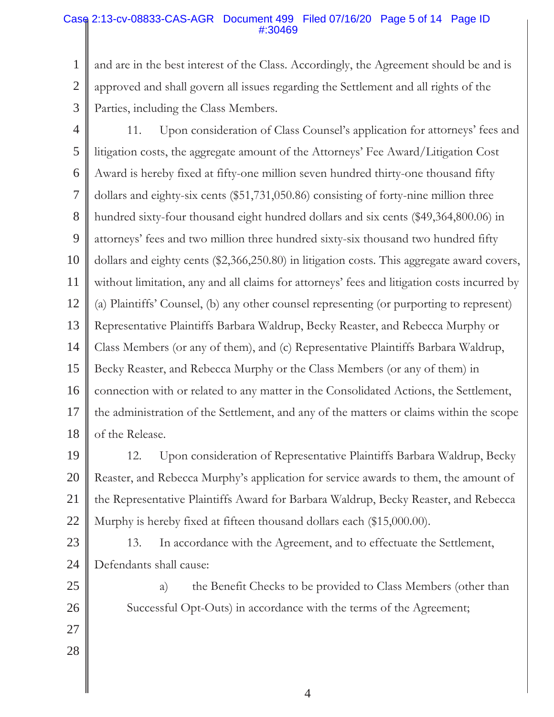# Case 2:13-cv-08833-CAS-AGR Document 499 Filed 07/16/20 Page 5 of 14 Page ID #:30469

1 2 3 and are in the best interest of the Class. Accordingly, the Agreement should be and is approved and shall govern all issues regarding the Settlement and all rights of the Parties, including the Class Members.

- 4 5 6 7 8 9 10 11 12 13 14 15 16 17 18 11. Upon consideration of Class Counsel's application for attorneys' fees and litigation costs, the aggregate amount of the Attorneys' Fee Award/Litigation Cost Award is hereby fixed at fifty-one million seven hundred thirty-one thousand fifty dollars and eighty-six cents (\$51,731,050.86) consisting of forty-nine million three hundred sixty-four thousand eight hundred dollars and six cents (\$49,364,800.06) in attorneys' fees and two million three hundred sixty-six thousand two hundred fifty dollars and eighty cents (\$2,366,250.80) in litigation costs. This aggregate award covers, without limitation, any and all claims for attorneys' fees and litigation costs incurred by (a) Plaintiffs' Counsel, (b) any other counsel representing (or purporting to represent) Representative Plaintiffs Barbara Waldrup, Becky Reaster, and Rebecca Murphy or Class Members (or any of them), and (c) Representative Plaintiffs Barbara Waldrup, Becky Reaster, and Rebecca Murphy or the Class Members (or any of them) in connection with or related to any matter in the Consolidated Actions, the Settlement, the administration of the Settlement, and any of the matters or claims within the scope of the Release.
- 19 20 21 22 12. Upon consideration of Representative Plaintiffs Barbara Waldrup, Becky Reaster, and Rebecca Murphy's application for service awards to them, the amount of the Representative Plaintiffs Award for Barbara Waldrup, Becky Reaster, and Rebecca Murphy is hereby fixed at fifteen thousand dollars each (\$15,000.00).
- 23 24 13. In accordance with the Agreement, and to effectuate the Settlement, Defendants shall cause:

25

26

27

28

a) the Benefit Checks to be provided to Class Members (other than Successful Opt-Outs) in accordance with the terms of the Agreement;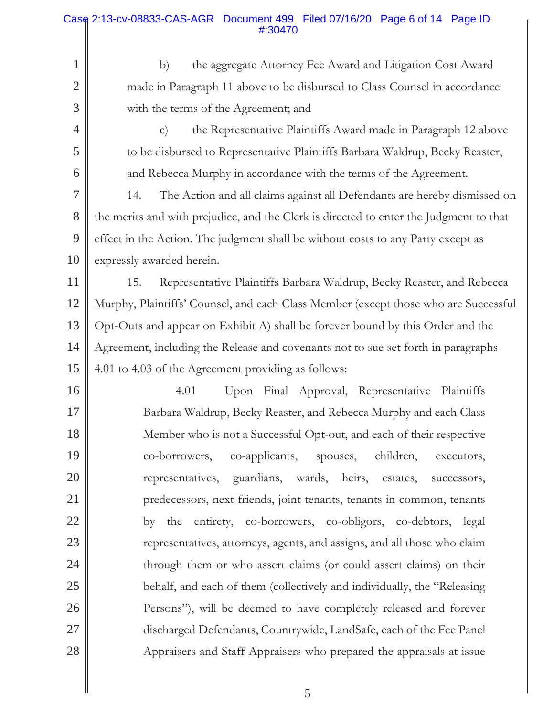### 1 2 3 4 5 6 7 8 9 10 11 12 13 14 15 b) the aggregate Attorney Fee Award and Litigation Cost Award made in Paragraph 11 above to be disbursed to Class Counsel in accordance with the terms of the Agreement; and c) the Representative Plaintiffs Award made in Paragraph 12 above to be disbursed to Representative Plaintiffs Barbara Waldrup, Becky Reaster, and Rebecca Murphy in accordance with the terms of the Agreement. 14. The Action and all claims against all Defendants are hereby dismissed on the merits and with prejudice, and the Clerk is directed to enter the Judgment to that effect in the Action. The judgment shall be without costs to any Party except as expressly awarded herein. 15. Representative Plaintiffs Barbara Waldrup, Becky Reaster, and Rebecca Murphy, Plaintiffs' Counsel, and each Class Member (except those who are Successful Opt-Outs and appear on Exhibit A) shall be forever bound by this Order and the Agreement, including the Release and covenants not to sue set forth in paragraphs 4.01 to 4.03 of the Agreement providing as follows: Case 2:13-cv-08833-CAS-AGR Document 499 Filed 07/16/20 Page 6 of 14 Page ID #:30470

16 17 18 19 20 21 22 23 24 25 26 27 28 4.01 Upon Final Approval, Representative Plaintiffs Barbara Waldrup, Becky Reaster, and Rebecca Murphy and each Class Member who is not a Successful Opt-out, and each of their respective co-borrowers, co-applicants, spouses, children, executors, representatives, guardians, wards, heirs, estates, successors, predecessors, next friends, joint tenants, tenants in common, tenants by the entirety, co-borrowers, co-obligors, co-debtors, legal representatives, attorneys, agents, and assigns, and all those who claim through them or who assert claims (or could assert claims) on their behalf, and each of them (collectively and individually, the "Releasing Persons"), will be deemed to have completely released and forever discharged Defendants, Countrywide, LandSafe, each of the Fee Panel Appraisers and Staff Appraisers who prepared the appraisals at issue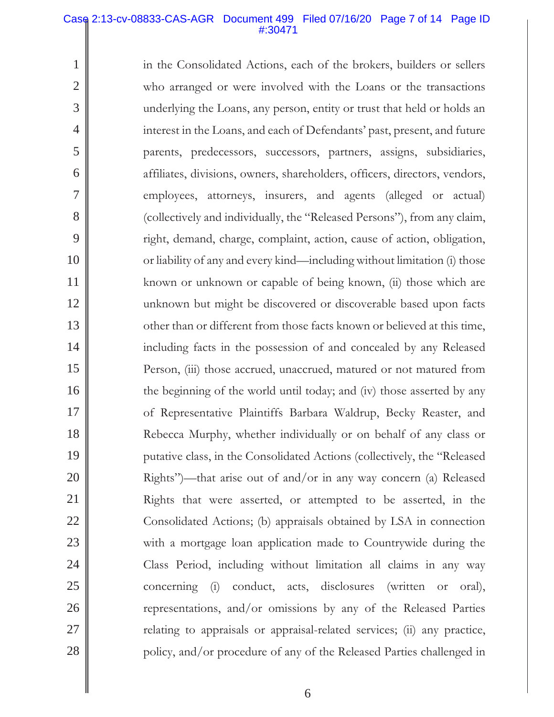### Case 2:13-cv-08833-CAS-AGR Document 499 Filed 07/16/20 Page 7 of 14 Page ID #:30471

1

2

3

4

5

6

7

8

9

10

11

12

13

14

15

16

17

18

19

20

21

22

23

24

25

26

27

28

in the Consolidated Actions, each of the brokers, builders or sellers who arranged or were involved with the Loans or the transactions underlying the Loans, any person, entity or trust that held or holds an interest in the Loans, and each of Defendants' past, present, and future parents, predecessors, successors, partners, assigns, subsidiaries, affiliates, divisions, owners, shareholders, officers, directors, vendors, employees, attorneys, insurers, and agents (alleged or actual) (collectively and individually, the "Released Persons"), from any claim, right, demand, charge, complaint, action, cause of action, obligation, or liability of any and every kind—including without limitation (i) those known or unknown or capable of being known, (ii) those which are unknown but might be discovered or discoverable based upon facts other than or different from those facts known or believed at this time, including facts in the possession of and concealed by any Released Person, (iii) those accrued, unaccrued, matured or not matured from the beginning of the world until today; and (iv) those asserted by any of Representative Plaintiffs Barbara Waldrup, Becky Reaster, and Rebecca Murphy, whether individually or on behalf of any class or putative class, in the Consolidated Actions (collectively, the "Released Rights")—that arise out of and/or in any way concern (a) Released Rights that were asserted, or attempted to be asserted, in the Consolidated Actions; (b) appraisals obtained by LSA in connection with a mortgage loan application made to Countrywide during the Class Period, including without limitation all claims in any way concerning (i) conduct, acts, disclosures (written or oral), representations, and/or omissions by any of the Released Parties relating to appraisals or appraisal-related services; (ii) any practice, policy, and/or procedure of any of the Released Parties challenged in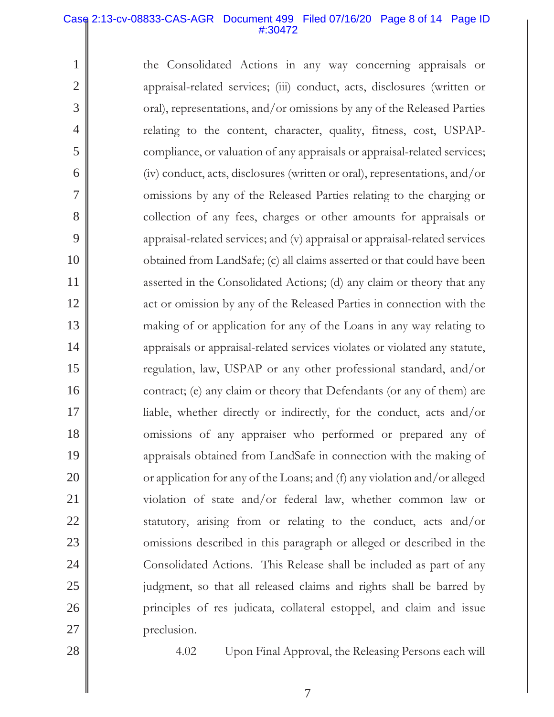#### Case 2:13-cv-08833-CAS-AGR Document 499 Filed 07/16/20 Page 8 of 14 Page ID #:30472

the Consolidated Actions in any way concerning appraisals or appraisal-related services; (iii) conduct, acts, disclosures (written or oral), representations, and/or omissions by any of the Released Parties relating to the content, character, quality, fitness, cost, USPAPcompliance, or valuation of any appraisals or appraisal-related services; (iv) conduct, acts, disclosures (written or oral), representations, and/or omissions by any of the Released Parties relating to the charging or collection of any fees, charges or other amounts for appraisals or appraisal-related services; and (v) appraisal or appraisal-related services obtained from LandSafe; (c) all claims asserted or that could have been asserted in the Consolidated Actions; (d) any claim or theory that any act or omission by any of the Released Parties in connection with the making of or application for any of the Loans in any way relating to appraisals or appraisal-related services violates or violated any statute, regulation, law, USPAP or any other professional standard, and/or contract; (e) any claim or theory that Defendants (or any of them) are liable, whether directly or indirectly, for the conduct, acts and/or omissions of any appraiser who performed or prepared any of appraisals obtained from LandSafe in connection with the making of or application for any of the Loans; and (f) any violation and/or alleged violation of state and/or federal law, whether common law or statutory, arising from or relating to the conduct, acts and/or omissions described in this paragraph or alleged or described in the Consolidated Actions. This Release shall be included as part of any judgment, so that all released claims and rights shall be barred by principles of res judicata, collateral estoppel, and claim and issue preclusion.

28

27

1

2

3

4

5

6

7

8

9

10

11

12

13

14

15

16

17

18

19

20

21

22

23

24

25

26

4.02 Upon Final Approval, the Releasing Persons each will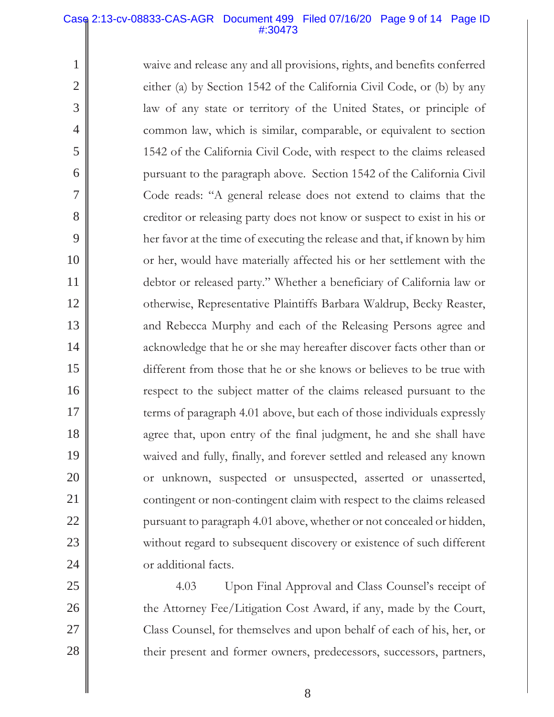#### Case 2:13-cv-08833-CAS-AGR Document 499 Filed 07/16/20 Page 9 of 14 Page ID #:30473

1

2

3

4

5

6

7

8

9

10

11

12

13

14

15

16

17

18

19

20

21

22

23

24

25

26

27

28

waive and release any and all provisions, rights, and benefits conferred either (a) by Section 1542 of the California Civil Code, or (b) by any law of any state or territory of the United States, or principle of common law, which is similar, comparable, or equivalent to section 1542 of the California Civil Code, with respect to the claims released pursuant to the paragraph above. Section 1542 of the California Civil Code reads: "A general release does not extend to claims that the creditor or releasing party does not know or suspect to exist in his or her favor at the time of executing the release and that, if known by him or her, would have materially affected his or her settlement with the debtor or released party." Whether a beneficiary of California law or otherwise, Representative Plaintiffs Barbara Waldrup, Becky Reaster, and Rebecca Murphy and each of the Releasing Persons agree and acknowledge that he or she may hereafter discover facts other than or different from those that he or she knows or believes to be true with respect to the subject matter of the claims released pursuant to the terms of paragraph 4.01 above, but each of those individuals expressly agree that, upon entry of the final judgment, he and she shall have waived and fully, finally, and forever settled and released any known or unknown, suspected or unsuspected, asserted or unasserted, contingent or non-contingent claim with respect to the claims released pursuant to paragraph 4.01 above, whether or not concealed or hidden, without regard to subsequent discovery or existence of such different or additional facts.

4.03 Upon Final Approval and Class Counsel's receipt of the Attorney Fee/Litigation Cost Award, if any, made by the Court, Class Counsel, for themselves and upon behalf of each of his, her, or their present and former owners, predecessors, successors, partners,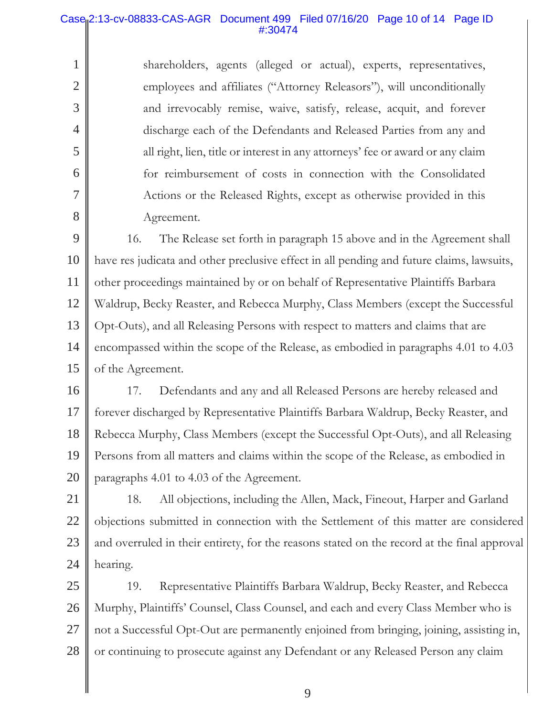# Case 2:13-cv-08833-CAS-AGR Document 499 Filed 07/16/20 Page 10 of 14 Page ID #:30474

1

2

3

4

5

6

7

8

shareholders, agents (alleged or actual), experts, representatives, employees and affiliates ("Attorney Releasors"), will unconditionally and irrevocably remise, waive, satisfy, release, acquit, and forever discharge each of the Defendants and Released Parties from any and all right, lien, title or interest in any attorneys' fee or award or any claim for reimbursement of costs in connection with the Consolidated Actions or the Released Rights, except as otherwise provided in this Agreement.

9 10 11 12 13 14 15 16. The Release set forth in paragraph 15 above and in the Agreement shall have res judicata and other preclusive effect in all pending and future claims, lawsuits, other proceedings maintained by or on behalf of Representative Plaintiffs Barbara Waldrup, Becky Reaster, and Rebecca Murphy, Class Members (except the Successful Opt-Outs), and all Releasing Persons with respect to matters and claims that are encompassed within the scope of the Release, as embodied in paragraphs 4.01 to 4.03 of the Agreement.

16 17 18 19 20 17. Defendants and any and all Released Persons are hereby released and forever discharged by Representative Plaintiffs Barbara Waldrup, Becky Reaster, and Rebecca Murphy, Class Members (except the Successful Opt-Outs), and all Releasing Persons from all matters and claims within the scope of the Release, as embodied in paragraphs 4.01 to 4.03 of the Agreement.

21 22 23 24 18. All objections, including the Allen, Mack, Fineout, Harper and Garland objections submitted in connection with the Settlement of this matter are considered and overruled in their entirety, for the reasons stated on the record at the final approval hearing.

25 26 27 28 19. Representative Plaintiffs Barbara Waldrup, Becky Reaster, and Rebecca Murphy, Plaintiffs' Counsel, Class Counsel, and each and every Class Member who is not a Successful Opt-Out are permanently enjoined from bringing, joining, assisting in, or continuing to prosecute against any Defendant or any Released Person any claim

9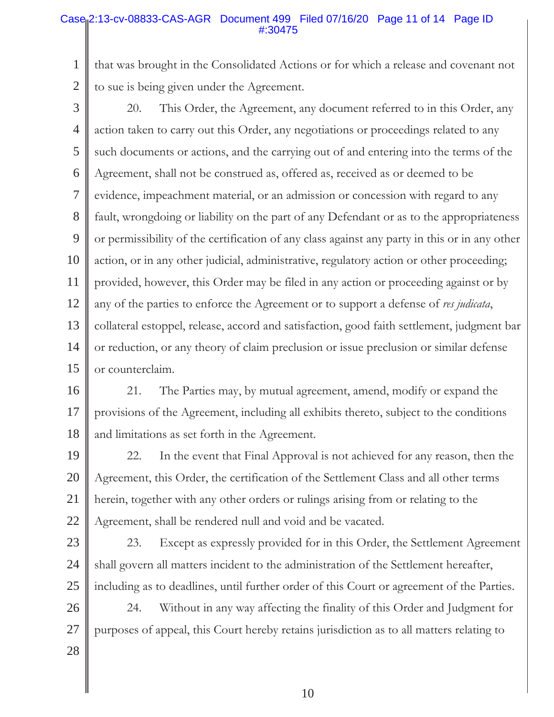### Case<sub>l</sub> 2:13-cv-08833-CAS-AGR Document 499 Filed 07/16/20 Page 11 of 14 Page ID #:30475

1 2 that was brought in the Consolidated Actions or for which a release and covenant not to sue is being given under the Agreement.

3

4 5 6 7 8 9 10 11 12 13 14 15 20. This Order, the Agreement, any document referred to in this Order, any action taken to carry out this Order, any negotiations or proceedings related to any such documents or actions, and the carrying out of and entering into the terms of the Agreement, shall not be construed as, offered as, received as or deemed to be evidence, impeachment material, or an admission or concession with regard to any fault, wrongdoing or liability on the part of any Defendant or as to the appropriateness or permissibility of the certification of any class against any party in this or in any other action, or in any other judicial, administrative, regulatory action or other proceeding; provided, however, this Order may be filed in any action or proceeding against or by any of the parties to enforce the Agreement or to support a defense of *res judicata*, collateral estoppel, release, accord and satisfaction, good faith settlement, judgment bar or reduction, or any theory of claim preclusion or issue preclusion or similar defense or counterclaim.

16 17 18 21. The Parties may, by mutual agreement, amend, modify or expand the provisions of the Agreement, including all exhibits thereto, subject to the conditions and limitations as set forth in the Agreement.

19 20 21 22 22. In the event that Final Approval is not achieved for any reason, then the Agreement, this Order, the certification of the Settlement Class and all other terms herein, together with any other orders or rulings arising from or relating to the Agreement, shall be rendered null and void and be vacated.

23

24

25

23. Except as expressly provided for in this Order, the Settlement Agreement shall govern all matters incident to the administration of the Settlement hereafter, including as to deadlines, until further order of this Court or agreement of the Parties.

26 27 24. Without in any way affecting the finality of this Order and Judgment for purposes of appeal, this Court hereby retains jurisdiction as to all matters relating to

28